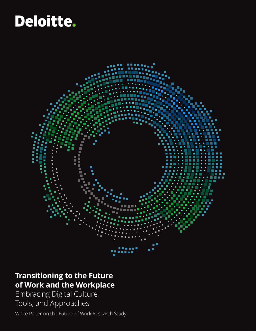# Deloitte.



### **Transitioning to the Future of Work and the Workplace**

Embracing Digital Culture, Tools, and Approaches

White Paper on the Future of Work Research Study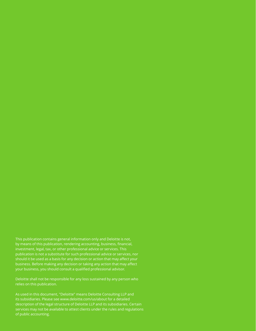This publication contains general information only and Deloitte is not, by means of this publication, rendering accounting, business, financial, investment, legal, tax, or other professional advice or services. This publication is not a substitute for such professional advice or services, nor should it be used as a basis for any decision or action that may affect your business. Before making any decision or taking any action that may affect your business, you should consult a qualified professional advisor.

Deloitte shall not be responsible for any loss sustained by any person who relies on this publication.

**03** of public accounting.As used in this document, "Deloitte" means Deloitte Consulting LLP and its subsidiaries. Please see www.deloitte.com/us/about for a detailed description of the legal structure of Deloitte LLP and its subsidiaries. Certain services may not be available to attest clients under the rules and regulations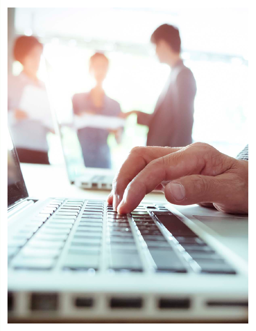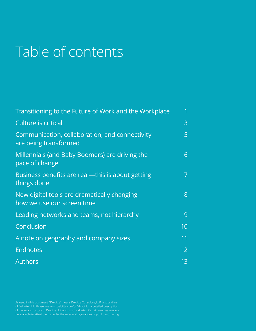# Table of contents

| Transitioning to the Future of Work and the Workplace                     | 1  |
|---------------------------------------------------------------------------|----|
| <b>Culture is critical</b>                                                | 3  |
| Communication, collaboration, and connectivity<br>are being transformed   | 5  |
| Millennials (and Baby Boomers) are driving the<br>pace of change          | 6  |
| Business benefits are real—this is about getting<br>things done           | 7  |
| New digital tools are dramatically changing<br>how we use our screen time | 8  |
| Leading networks and teams, not hierarchy                                 | 9  |
| Conclusion                                                                | 10 |
| A note on geography and company sizes                                     | 11 |
| <b>Endnotes</b>                                                           | 12 |
| <b>Authors</b>                                                            | 13 |

As used in this document, "Deloitte" means Deloitte Consulting LLP, a subsidiary of Deloitte LLP. Please see www.deloitte.com/us/about for a detailed description of the legal structure of Deloitte LLP and its subsidiaries. Certain services may not be available to attest clients under the rules and regulations of public accounting.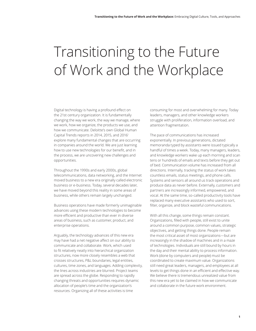# Transitioning to the Future of Work and the Workplace

Digital technology is having a profound effect on the 21st century organization. It is fundamentally changing the way we work, the way we manage, where we work, how we organize, the products we use, and how we communicate. Deloitte's own Global Human Capital Trends reports in 2014, 2015, and 2016<sup>1</sup> explore many fundamental changes that are occurring in companies around the world. We are just learning how to use new technologies for our benefit, and in the process, we are uncovering new challenges and opportunities.

Throughout the 1990s and early 2000s, global telecommunications, data networking, and the Internet moved business to a new era originally called electronic business or e-business. Today, several decades later, we have moved beyond this reality in some areas of business, while others remain largely unchanged.

Business operations have made formerly unimaginable advances using these modern technologies to become more efficient and productive than ever in diverse areas of business, such as customer, product, and enterprise operations.

Arguably, the technology advances of this new era may have had a net negative affect on our ability to communicate and collaborate. Work, which used to fit relatively neatly into hierarchical organization structures, now more closely resembles a web that crosses structures, P&L boundaries, legal entities, cultures, time zones, and languages. Adding complexity, the lines across industries are blurred. Project teams are spread across the globe. Responding to rapidly changing threats and opportunities requires dynamic allocation of people's time and the organization's resources. Organizing all of these activities is time

consuming for most and overwhelming for many. Today leaders, managers, and other knowledge workers struggle with proliferation, information overload, and attention fragmentation.

The pace of communications has increased exponentially. In previous generations, dictated memoranda typed by assistants were issued typically a handful of times a week. Today, many managers, leaders, and knowledge workers wake up each morning and scan tens or hundreds of emails and texts before they get out of bed. Communication volume has increased from all directions. Internally, tracking the status of work takes countless emails, status meetings, and phone calls. Systems and sensors all around us track operations and produce data as never before. Externally, customers and partners are increasingly informed, empowered, and vocal. At the same time, so-called productivity tools have replaced many executive assistants who used to sort, filter, organize, and block wasteful communications.

With all this change, some things remain constant. Organizations, filled with people, still exist to unite around a common purpose, common values, strategic objectives, and getting things done. People remain the most critical asset of most organizations—but are increasingly in the shadow of machines and in a maze of technologies. Individuals are still bound by hours in the day and their mental ability to process information. Work (done by computers and people) must be coordinated to create maximum value. Organizations still need great leaders, managers, and employees at all levels to get things done in an efficient and effective way. We believe there is tremendous unrealized value from this new era yet to be claimed in how we communicate and collaborate in the future work environment.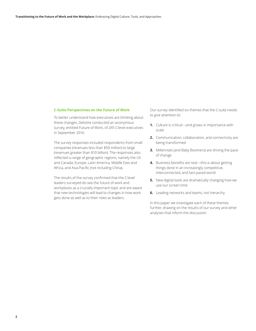#### **C-Suite Perspectives on the Future of Work**

To better understand how executives are thinking about these changes, Deloitte conducted an anonymous survey, entitled Future of Work, of 245 C-level executives in September 2016.

The survey responses included respondents from small companies (revenues less than \$50 million) to large (revenues greater than \$10 billion). The responses also reflected a range of geographic regions, namely the US and Canada, Europe, Latin America, Middle East and Africa, and Asia Pacific (not including China).

The results of the survey confirmed that the C-level leaders surveyed do see the future of work and workplaces as a crucially important topic and are aware that new technologies will lead to changes in how work gets done as well as to their roles as leaders.

Our survey identified six themes that the C-suite needs to give attention to:

- **1.** Culture is critical—and grows in importance with scale
- **2.** Communication, collaboration, and connectivity are being transformed
- **3.** Millennials (and Baby Boomers) are driving the pace of change
- **4.** Business benefits are real—this is about getting things done in an increasingly competitive, interconnected, and fast-paced world
- **5.** New digital tools are dramatically changing how we use our screen time
- **6.** Leading networks and teams, not hierarchy

In this paper we investigate each of these themes further, drawing on the results of our survey and other analyses that inform the discussion.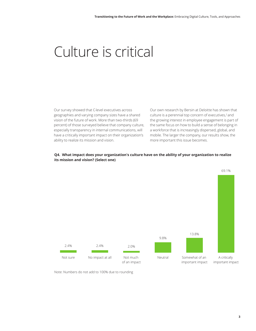### Culture is critical

Our survey showed that C-level executives across geographies and varying company sizes have a shared vision of the future of work. More than two-thirds (69 percent) of those surveyed believe that company culture, especially transparency in internal communications, will have a critically important impact on their organization's ability to realize its mission and vision.

Our own research by Bersin at Deloitte has shown that culture is a perennial top concern of executives,<sup>2</sup> and the growing interest in employee engagement is part of the same focus on how to build a sense of belonging in a workforce that is increasingly dispersed, global, and mobile. The larger the company, our results show, the more important this issue becomes.



### **Q4. What impact does your organization's culture have on the ability of your organization to realize its mission and vision? (Select one)**

Note: Numbers do not add to 100% due to rounding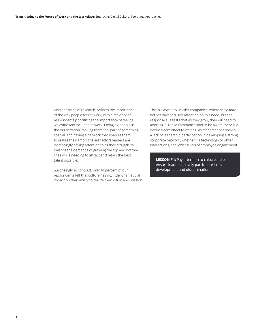Another piece of research<sup>3</sup> reflects the importance of the way people feel at work, with a majority of respondents prioritizing the importance of feeling welcome and included at work. Engaging people in the organization, making them feel part of something special, and having a network that enables them to realize their ambitions are factors leaders are increasingly paying attention to as they struggle to balance the demands of growing the top and bottom lines while needing to attract and retain the best talent possible.

Surprisingly, in contrast, only 14 percent of our respondents felt that culture has no, little, or a neutral impact on their ability to realize their vision and mission. This is skewed to smaller companies, where scale may not yet have focused attention on this need, but the response suggests that as they grow, they will need to address it. These companies should be aware there is a downstream effect to waiting, as research<sup>4</sup> has shown a lack of leadership participation in developing a strong corporate network, whether via technology or other interactions, can lower levels of employee engagement.

**LESSON #1:** Pay attention to culture; help ensure leaders actively participate in its development and dissemination.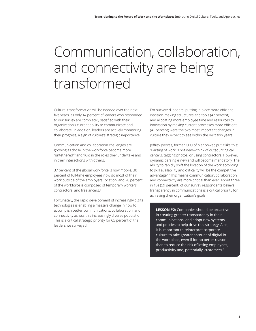### Communication, collaboration, and connectivity are being transformed

Cultural transformation will be needed over the next five years, as only 14 percent of leaders who responded to our survey are completely satisfied with their organization's current ability to communicate and collaborate. In addition, leaders are actively monitoring their progress, a sign of culture's strategic importance.

Communication and collaboration challenges are growing as those in the workforce become more "untethered"5 and fluid in the roles they undertake and in their interactions with others.

37 percent of the global workforce is now mobile, 30 percent of full-time employees now do most of their work outside of the employers' location, and 20 percent of the workforce is composed of temporary workers, contractors, and freelancers.<sup>6</sup>

Fortunately, the rapid development of increasingly digital technologies is enabling a massive change in how to accomplish better communications, collaboration, and connectivity across this increasingly diverse population. This is a critical strategic priority for 65 percent of the leaders we surveyed.

For surveyed leaders, putting in place more efficient decision-making structures and tools (42 percent) and allocating more employee time and resources to innovation by making current processes more efficient (41 percent) were the two most important changes in culture they expect to see within the next two years.

Jeffrey Joerres, former CEO of Manpower, put it like this: "Parsing of work is not new—think of outsourcing call centers, tagging photos, or using contractors. However, dynamic parsing *is* new and will become mandatory. The ability to rapidly shift the location of the work according to skill availability and criticality will be the competitive advantage."7 This means communication, collaboration, and connectivity are more critical than ever. About three in five (59 percent) of our survey respondents believe transparency in communications is a critical priority for achieving their organization's goals.

**LESSON #2:** Companies should be proactive in creating greater transparency in their communications, and adopt new systems and policies to help drive this strategy. Also, it is important to reinterpret corporate culture to take greater account of digital in the workplace, even if for no better reason than to reduce the risk of losing employees, productivity and, potentially, customers.8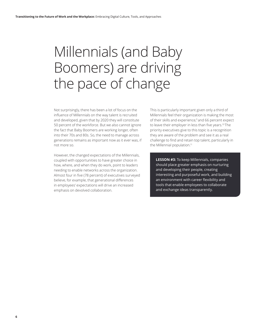## Millennials (and Baby Boomers) are driving the pace of change

Not surprisingly, there has been a lot of focus on the influence of Millennials on the way talent is recruited and developed, given that by 2020 they will constitute 50 percent of the workforce. But we also cannot ignore the fact that Baby Boomers are working longer, often into their 70s and 80s. So, the need to manage across generations remains as important now as it ever was, if not more so.

However, the changed expectations of the Millennials, coupled with opportunities to have greater choice in how, where, and when they do work, point to leaders needing to enable networks across the organization. Almost four in five (78 percent) of executives surveyed believe, for example, that generational differences in employees' expectations will drive an increased emphasis on devolved collaboration.

This is particularly important given only a third of Millennials feel their organization is making the most of their skills and experience,<sup>9</sup> and 66 percent expect to leave their employer in less than five years.<sup>10</sup> The priority executives give to this topic is a recognition they are aware of the problem and see it as a real challenge to find and retain top talent, particularly in the Millennial population.<sup>11</sup>

**LESSON #3:** To keep Millennials, companies should place greater emphasis on nurturing and developing their people, creating interesting and purposeful work, and building an environment with career flexibility and tools that enable employees to collaborate and exchange ideas transparently.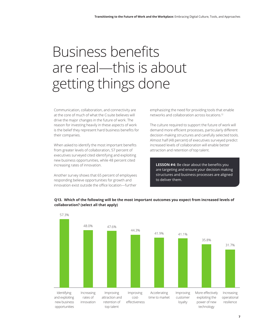# Business benefits are real—this is about getting things done

Communication, collaboration, and connectivity are at the core of much of what the C-suite believes will drive the major changes in the future of work. The reason for investing heavily in these aspects of work is the belief they represent hard business benefits for their companies.

When asked to identify the most important benefits from greater levels of collaboration, 57 percent of executives surveyed cited identifying and exploiting new business opportunities, while 48 percent cited increasing rates of innovation.

Another survey shows that 65 percent of employees responding believe opportunities for growth and innovation exist outside the office location—further

emphasizing the need for providing tools that enable networks and collaboration across locations.12

The culture required to support the future of work will demand more efficient processes, particularly different decision-making structures and carefully selected tools. Almost half (48 percent) of executives surveyed predict increased levels of collaboration will enable better attraction and retention of top talent.

**LESSON #4:** Be clear about the benefits you are targeting and ensure your decision making structures and business processes are aligned to deliver them.



### **Q13. Which of the following will be the most important outcomes you expect from increased levels of collaboration? (select all that apply)**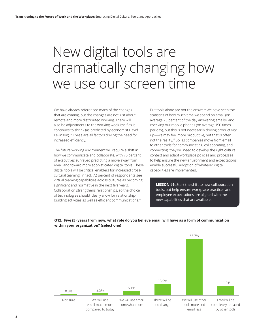## New digital tools are dramatically changing how we use our screen time

We have already referenced many of the changes that are coming, but the changes are not just about remote and more distributed working. There will also be adjustments to the working week itself as it continues to shrink (as predicted by economist David Levinson).13 These are all factors driving the need for increased efficiency.

The future working environment will require a shift in how we communicate and collaborate, with 76 percent of executives surveyed predicting a move away from email and toward more sophisticated digital tools. These digital tools will be critical enablers for increased crosscultural teaming. In fact, 72 percent of respondents see virtual teaming capabilities across cultures as becoming significant and normative in the next five years. Collaboration strengthens relationships, so the choice of technologies should ideally allow for relationshipbuilding activities as well as efficient communications.<sup>14</sup>

But tools alone are not the answer: We have seen the statistics of how much time we spend on email (on average 25 percent of the day answering emails), and checking our mobile phones (on average 150 times per day), but this is not necessarily driving productivity up—we may feel more productive, but that is often not the reality.<sup>15</sup> So, as companies move from email to other tools for communicating, collaborating, and connecting, they will need to develop the right cultural context and adapt workplace policies and processes to help ensure the new environment and expectations enable successful adoption of whatever digital capabilities are implemented.

**LESSON #5:** Start the shift to new collaboration tools, but help ensure workplace practices and employee expectations are aligned with the new capabilities that are available.



#### **Q12. Five (5) years from now, what role do you believe email will have as a form of communication within your organization? (select one)**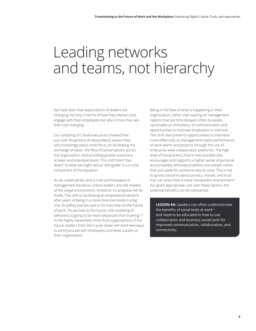## Leading networks and teams, not hierarchy

We have seen that expectations of leaders are changing not only in terms of how they interact and engage with their employees but also in how they see their role changing.

Our sampling of C-level executives showed that just over 40 percent of respondents expect they will increasingly place more focus on facilitating the exchange of ideas , the flow of conversations across the organization, and providing greater autonomy at team and individual levels. This shift from "topdown" to what we might see as "alongside" is a crucial component of the equation.

As we noted earlier, and is now commonplace in management literature, unless leaders are role models of the target environment, limited or no progress will be made. The shift to facilitating an empowered network after years of being in a more directive mode is a big one. As Jeffrey Joerres said in his interview on the future of work, "As we look to the future, role modeling of behaviors is going to be more important than training."16 In the highly networked, more fluid organizations of the future, leaders from the C-suite down will need new ways to communicate with employees and keep a pulse on their organization.

Being in the flow of what is happening in their organization, rather than waiting on management reports that are time delayed, often by weeks, can enable an immediacy of communication and opportunities to motivate employees in real time. This shift also presents opportunities to intervene more effectively as management tracks performance of work teams and projects through the use of enterprise-wide collaboration platforms. The high level of transparency that is now possible also encourages and supports a higher sense of personal accountability, whereby problems are owned, rather than put aside for someone else to solve. This is not to ignore concerns about privacy, morale, and trust that can arise from a more transparent environment,<sup>17</sup> but given appropriate care over these factors, the potential benefits can be substantial.

**LESSON #6:** Leaders can often underestimate the benefits of social tools at work $^{18}$ and need to be educated in how to use collaboration and business social tools for improved communication, collaboration, and connectivity.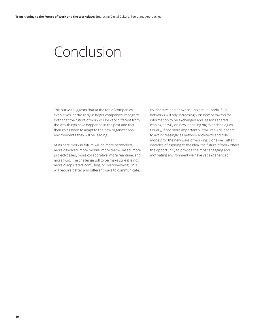### Conclusion

This survey suggests that at the top of companies, executives, particularly in larger companies, recognize both that the future of work will be very different from the way things have happened in the past and that their roles need to adapt to the new organizational environments they will be leading.

At its core, work in future will be more networked, more devolved, more mobile, more team- based, more project-based, more collaborative, more real-time, and more fluid. The challenge will to be make sure it is not more complicated, confusing, or overwhelming. This will require better and different ways to communicate,

collaborate, and network. Large multi-nodal fluid networks will rely increasingly on new pathways for information to be exchanged and lessons shared, leaning heavily on new, enabling digital technologies. Equally, if not more importantly, it will require leaders to act increasingly as network architects and role models for the new ways of working. Done well, after decades of aspiring to the idea, the future of work offers the opportunity to provide the most engaging and motivating environment we have yet experienced.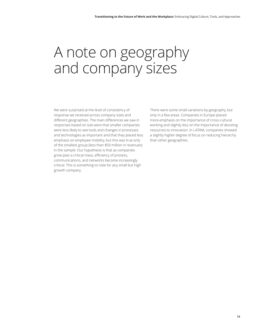## A note on geography and company sizes

We were surprised at the level of consistency of response we received across company sizes and different geographies. The main differences we saw in responses based on size were that smaller companies were less likely to see tools and changes in processes and technologies as important and that they placed less emphasis on employee mobility, but this was true only of the smallest group (less than \$50 million in revenues) in the sample. Our hypothesis is that as companies grow past a critical mass, efficiency of process, communications, and networks become increasingly critical. This is something to note for any small but high growth company.

There were some small variations by geography, but only in a few areas. Companies in Europe placed more emphasis on the importance of cross-cultural working and slightly less on the importance of devoting resources to innovation. In LATAM, companies showed a slightly higher degree of focus on reducing hierarchy than other geographies.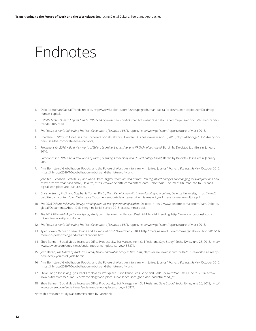## Endnotes

- 1. Deloitte Human Capital Trends reports, http://www2.deloitte.com/us/en/pages/human-capital/topics/human-capital.html?icid=top\_ human-capital.
- 2. *Deloitte Global Human Capital Trends 2015: Leading in the new world of work*, http://dupress.deloitte.com/dup-us-en/focus/human-capitaltrends/2015.html.
- 3. *The Future of Work: Cultivating The Next Generation of Leaders*, a PSFK report, http://www.psfk.com/report/future-of-work-2016.
- 4. Charlene Li, "Why No One Uses the Corporate Social Network," Harvard Business Review, April 7, 2015, https://hbr.org/2015/04/why-noone-uses-the-corporate-social-network).
- 5. *Predictions for 2016: A Bold New World of Talent, Learning, Leadership, and HR Technology Ahead*, Bersin by Deloitte / Josh Bersin, January 2016.
- 6. *Predictions for 2016: A Bold New World of Talent, Learning, Leadership, and HR Technology Ahead*, Bersin by Deloitte / Josh Bersin, January 2016.
- 7. Amy Bernstein, "Globalization, Robots, and the Future of Work: An Interview with Jeffrey Joerres," *Harvard Business Review*, October 2016, https://hbr.org/2016/10/globalization-robots-and-the-future-of-work.
- 8. Jennifer Buchanan, Beth Kelley, and Alicia Hatch, *Digital workplace and culture: How digital technologies are changing the workforce and how enterprises can adapt and evolve*, Deloitte, https://www2.deloitte.com/content/dam/Deloitte/us/Documents/human-capital/us-consdigital-workplace-and-culture.pdf.
- 9. Christie Smith, Ph.D. and Stephanie Turner, Ph.D., *The millennial majority is transforming your culture*, Deloitte University, https://www2. deloitte.com/content/dam/Deloitte/us/Documents/about-deloitte/us-millennial-majority-will-transform-your-culture.pdf.
- 10. *The 2016 Deloitte Millennial Survey: Winning over the next generation of leaders*, Deloitte, https://www2.deloitte.com/content/dam/Deloitte/ global/Documents/About-Deloitte/gx-millenial-survey-2016-exec-summary.pdf.
- 11. *The 2015 Millennial Majority Workforce*, study commissioned by Elance-oDesk & Millennial Branding, http://www.elance-odesk.com/ millennial-majority-workforce.
- 12. *The Future of Work: Cultivating The Next Generation of Leaders*, a PSFK report, http://www.psfk.com/report/future-of-work-2016.
- 13. Tyler Cowen, "More on peak driving and its implications," November 7, 2013, http://marginalrevolution.com/marginalrevolution/2013/11/ more-on-peak-driving-and-its-implications.html.
- 14. Shea Bennet, "Social Media Increases Office Productivity, But Management Still Resistant, Says Study," *Social Times*, June 26, 2013, http:// www.adweek.com/socialtimes/social-media-workplace-survey/486874.
- 15. Josh Bersin, *The Future of Work: It's Already Here—and Not as Scary as You Think*, https://www.linkedin.com/pulse/future-work-its-alreadyhere-scary-you-think-josh-bersin.
- 16. Amy Bernstein, "Globalization, Robots, and the Future of Work: An Interview with Jeffrey Joerres," *Harvard Business Review*, October 2016, https://hbr.org/2016/10/globalization-robots-and-the-future-of-work.
- 17. Steve Lohr, "Unblinking Eyes Track Employees: Workplace Surveillance Sees Good and Bad," *The New York Times*, June 21, 2014, http:// www.nytimes.com/2014/06/22/technology/workplace-surveillance-sees-good-and-bad.html?hp&\_r=0
- 18. Shea Bennet, "Social Media Increases Office Productivity, But Management Still Resistant, Says Study," *Social Times*, June 26, 2013, http:// www.adweek.com/socialtimes/social-media-workplace-survey/486874.

Note: This research study was commissioned by Facebook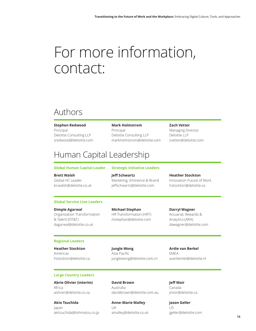## For more information, contact:

### Authors

**Stephen Redwood** Principal Deloitte Consulting LLP sredwood@deloitte.com

#### **Mark Holmstrom** Principal Deloitte Consulting LLP markholmstrom@deloitte.com

### **Zach Vetter** Managing Director Deloitte LLP zvetter@deloitte.com

### Human Capital Leadership

#### **Global Human Capital Leader**

#### **Strategic Initiative Leaders**

**Brett Walsh** Global HC Leader bcwalsh@deloitte.co.uk **Jeff Schwartz** Marketing, Eminence & Brand jeffschwartz@deloitte.com

**Heather Stockton** Innovation-Future of Work hstockton@deloitte.ca

#### **Global Service Line Leaders**

**Dimple Agarwal** Organization Transformation & Talent (OT&T) dagarwal@deloitte.co.uk

**Michael Stephan** HR Transformation (HRT) mstephan@deloitte.com

**Darryl Wagner** Actuarial, Rewards & Analytics (ARA) dawagner@deloitte.com

#### **Regional Leaders**

**Heather Stockton** Americas hstockton@deloitte.ca **Jungle Wong** Asia Pacific junglewong@deloitte.com.cn **Ardie van Berkel** EMEA avanberkel@deloitte.nl

#### **Large Country Leaders**

**Abrie Olivier (interim)** Africa aolivier@deloitte.co.za

**Akio Tsuchida**  Japan akitsuchida@tohmatsu.co.jp

**David Brown** Australia davidbrown@deloitte.com.au

**Anne-Marie Malley**  UK amalley@deloitte.co.uk **Jeff Moir** Canada jmoir@deloitte.ca

**Jason Geller**  US jgeller@deloitte.com